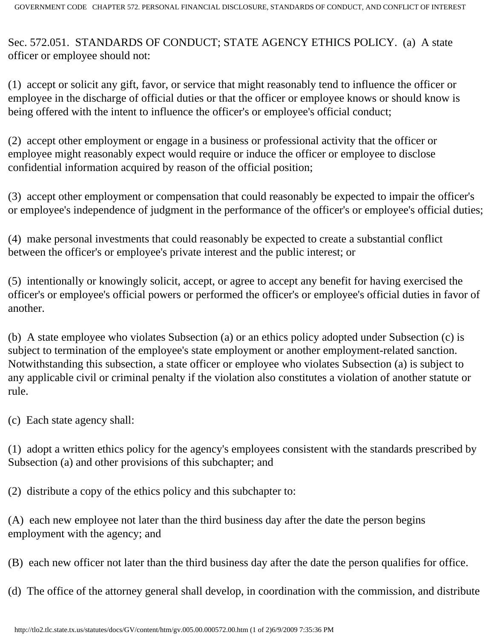Sec. 572.051. STANDARDS OF CONDUCT; STATE AGENCY ETHICS POLICY. (a) A state officer or employee should not:

(1) accept or solicit any gift, favor, or service that might reasonably tend to influence the officer or employee in the discharge of official duties or that the officer or employee knows or should know is being offered with the intent to influence the officer's or employee's official conduct;

(2) accept other employment or engage in a business or professional activity that the officer or employee might reasonably expect would require or induce the officer or employee to disclose confidential information acquired by reason of the official position;

(3) accept other employment or compensation that could reasonably be expected to impair the officer's or employee's independence of judgment in the performance of the officer's or employee's official duties;

(4) make personal investments that could reasonably be expected to create a substantial conflict between the officer's or employee's private interest and the public interest; or

(5) intentionally or knowingly solicit, accept, or agree to accept any benefit for having exercised the officer's or employee's official powers or performed the officer's or employee's official duties in favor of another.

(b) A state employee who violates Subsection (a) or an ethics policy adopted under Subsection (c) is subject to termination of the employee's state employment or another employment-related sanction. Notwithstanding this subsection, a state officer or employee who violates Subsection (a) is subject to any applicable civil or criminal penalty if the violation also constitutes a violation of another statute or rule.

(c) Each state agency shall:

(1) adopt a written ethics policy for the agency's employees consistent with the standards prescribed by Subsection (a) and other provisions of this subchapter; and

(2) distribute a copy of the ethics policy and this subchapter to:

(A) each new employee not later than the third business day after the date the person begins employment with the agency; and

(B) each new officer not later than the third business day after the date the person qualifies for office.

(d) The office of the attorney general shall develop, in coordination with the commission, and distribute